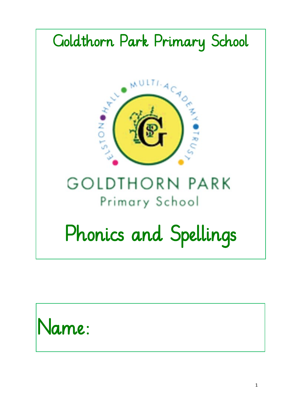

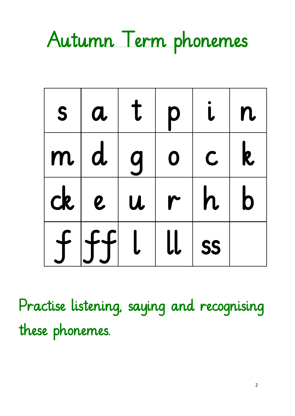#### Autumn Term phonemes

| S | $\boldsymbol{a}$ | t   | p                                          |             | n            |
|---|------------------|-----|--------------------------------------------|-------------|--------------|
| m |                  | d g | $\overline{\mathbf{o}}$                    | $\mathsf C$ | $\mathbf{k}$ |
|   | $ck$ $e$ $u$     |     |                                            | r h         | $\mathbf b$  |
|   | f f f  l         |     | $\lfloor \lfloor \cdot \rfloor \rfloor$ ss |             |              |

Practise listening, saying and recognising these phonemes.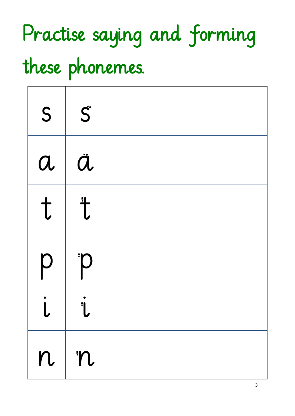## Practise saying and forming these phonemes.

| S                | $\vec{S}$           |  |
|------------------|---------------------|--|
| $\boldsymbol{a}$ | ä                   |  |
| t                | $\ddot{\mathsf{t}}$ |  |
| p                | P                   |  |
|                  | 1                   |  |
| n                | m                   |  |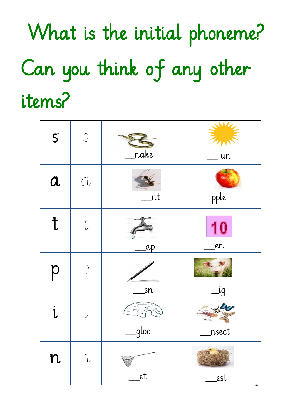# What is the initial phoneme? Can you think of any other items?

| $\vec{S}$            |                                                       | <u>nake</u> | <b>THE</b><br>un |
|----------------------|-------------------------------------------------------|-------------|------------------|
| $\ddot{\mathcal{a}}$ | $\mathbb{Q}_\nu$                                      | nt          | -pple            |
| $\ddot{\mathsf{t}}$  | $\begin{array}{c}\n\vdots \\ \downarrow\n\end{array}$ | ap          | 10<br>en         |
| $\overline{p}$       |                                                       | en          | ig               |
| $\ddot{\mathbf{i}}$  | $\ddot{\psi}$                                         | gloo        | nsect            |
| n                    | ft.                                                   | _et         | _est             |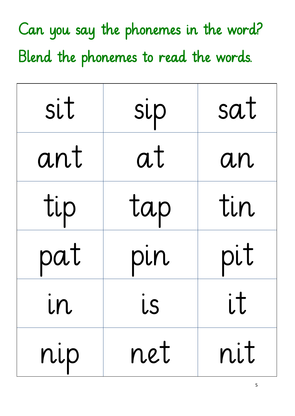| sit | sip | sat |
|-----|-----|-----|
| ant | at  | an  |
| tip | tap | tin |
| pat | pin | pit |
| U U | 1.5 | it  |
| nip | net | nit |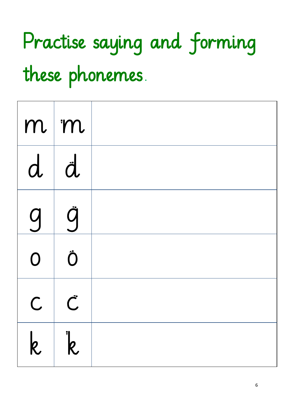## Practise saying and forming these phonemes.

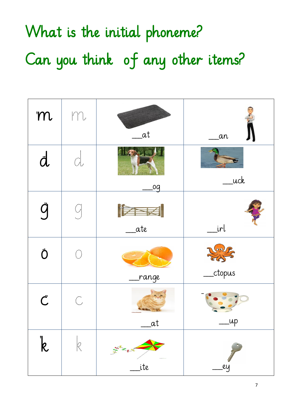What is the initial phoneme? Can you think of any other items?

| m                       | m            | _at         | _an                                                                            |
|-------------------------|--------------|-------------|--------------------------------------------------------------------------------|
| $\ddot{a}$              | d            | <u>.0q</u>  | _uck                                                                           |
| ğ                       |              | ESE<br>_ate | _irl                                                                           |
| Ö                       | $\mathbb{C}$ | range       | $\left(\begin{matrix} 0 & 0 \\ 0 & 0 \end{matrix}\right)$<br><sub>ctopus</sub> |
| $\mathring{\mathsf{C}}$ | $\mathbb{C}$ | _at         | _up                                                                            |
| $\overline{k}$          |              | ite         | ey                                                                             |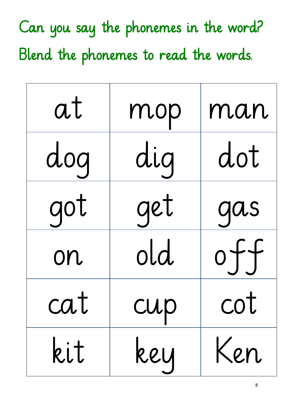| at   | mop | man    |
|------|-----|--------|
| dog  | dig | dot    |
| got  | get | qas    |
| on   | old | $0+$   |
| CU l | CUP | $\cup$ |
| kit  | key | Ken    |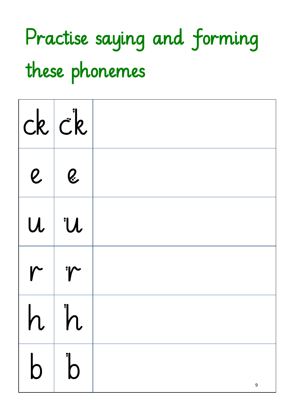#### Practise saying and forming these phonemes

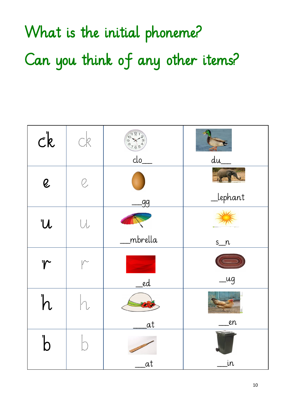What is the initial phoneme? Can you think of any other items?

| $c\,$       | <b>CR</b>                        |               |          |
|-------------|----------------------------------|---------------|----------|
|             |                                  | clo           | du       |
| Q           |                                  |               |          |
|             |                                  | -99           | _lephant |
| U           | $\bigcup_{\alpha\in\mathcal{A}}$ |               |          |
|             |                                  | mbrella       | $s_n$    |
| <i>'r</i>   | $\mathbb{R}^n$                   |               |          |
|             |                                  | <sub>ed</sub> | _ug      |
| h           |                                  | a Ta          |          |
|             |                                  | <u>at</u>     | en       |
| $\mathsf D$ |                                  |               |          |
|             |                                  | at            | įn       |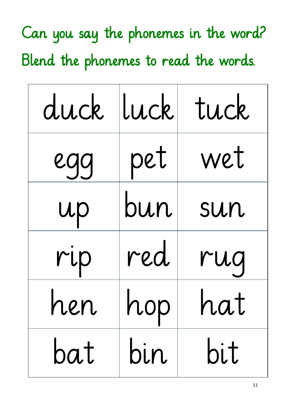| duck luck |     | tuck  |
|-----------|-----|-------|
| egg       | pet | wet   |
| up        | bun | sun   |
| rip       | red | rug   |
| rleri     | nop | ria i |
| bat       | bin | bit   |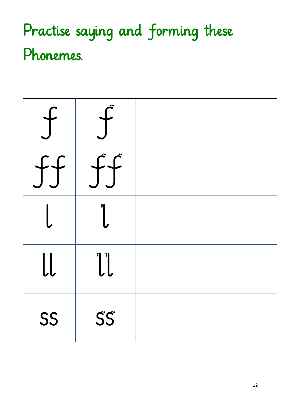#### Practise saying and forming these Phonemes.

| ff        | $\int \int \vec{f}$ |  |
|-----------|---------------------|--|
|           |                     |  |
| $\bigcup$ | $\bigcup$           |  |
| SS        | SS®                 |  |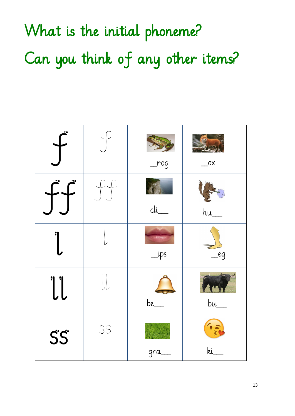What is the initial phoneme? Can you think of any other items?

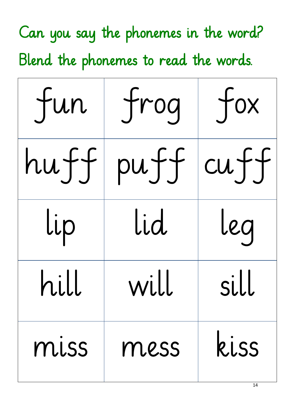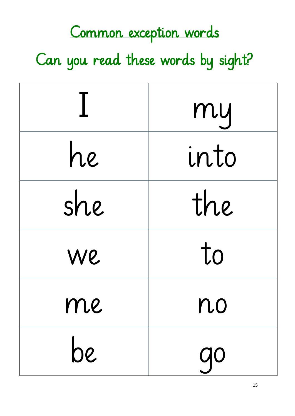#### Common exception words

Can you read these words by sight?

|        | my        |
|--------|-----------|
| he     | into      |
| she    | the       |
| We     | to        |
| 1 I LC | r lU      |
| be     | <b>go</b> |